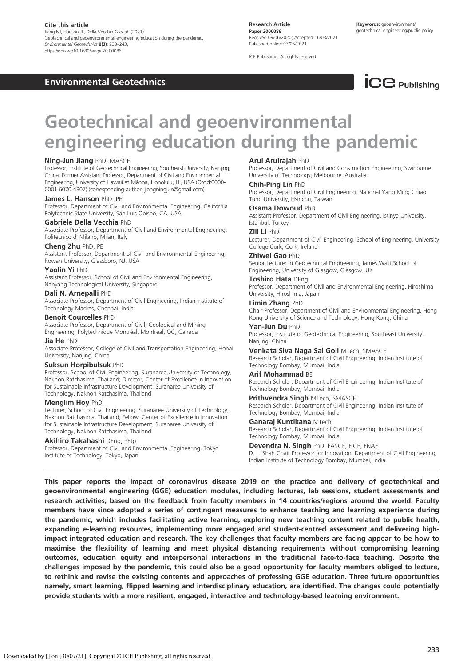## Cite this article

Jiang NJ, Hanson JL, Della Vecchia G et al. (2021) Geotechnical and geoenvironmental engineering education during the pandemic. Environmental Geotechnics 8(3): 233–243, https://doi.org/10.1680/jenge.20.00086

Environmental Geotechnics

Research Article Paper 2000086 Received 09/06/2020; Accepted 16/03/2021 Published online 07/05/2021

ICE Publishing: All rights reserved



# Geotechnical and geoenvironmental engineering education during the pandemic

## Ning-Jun Jiang PhD, MASCE

Professor, Institute of Geotechnical Engineering, Southeast University, Nanjing, China; Former Assistant Professor, Department of Civil and Environmental Engineering, University of Hawaii at Mānoa, Honolulu, HI, USA (Orcid:0000- 0001-6070-4307) (corresponding author: jiangningjun@gmail.com)

## James L. Hanson PhD. PE

Professor, Department of Civil and Environmental Engineering, California Polytechnic State University, San Luis Obispo, CA, USA

## Gabriele Della Vecchia PhD

Associate Professor, Department of Civil and Environmental Engineering, Politecnico di Milano, Milan, Italy

#### Cheng Zhu PhD, PE

Assistant Professor, Department of Civil and Environmental Engineering, Rowan University, Glassboro, NJ, USA

## Yaolin Yi PhD

Assistant Professor, School of Civil and Environmental Engineering, Nanyang Technological University, Singapore

## Dali N. Arnepalli PhD

Associate Professor, Department of Civil Engineering, Indian Institute of Technology Madras, Chennai, India

## Benoit Courcelles PhD

Associate Professor, Department of Civil, Geological and Mining Engineering, Polytechnique Montréal, Montreal, QC, Canada

#### Jia He PhD

Associate Professor, College of Civil and Transportation Engineering, Hohai University, Nanjing, China

## Suksun Horpibulsuk PhD

Professor, School of Civil Engineering, Suranaree University of Technology, Nakhon Ratchasima, Thailand; Director, Center of Excellence in Innovation for Sustainable Infrastructure Development, Suranaree University of Technology, Nakhon Ratchasima, Thailand

## Menglim Hoy PhD

Lecturer, School of Civil Engineering, Suranaree University of Technology, Nakhon Ratchasima, Thailand; Fellow, Center of Excellence in Innovation for Sustainable Infrastructure Development, Suranaree University of Technology, Nakhon Ratchasima, Thailand

#### Akihiro Takahashi DEng, PEJp

Professor, Department of Civil and Environmental Engineering, Tokyo Institute of Technology, Tokyo, Japan

#### Arul Arulrajah PhD

Professor, Department of Civil and Construction Engineering, Swinburne University of Technology, Melbourne, Australia

#### Chih-Ping Lin PhD

Professor, Department of Civil Engineering, National Yang Ming Chiao Tung University, Hsinchu, Taiwan

#### Osama Dowoud PhD

Assistant Professor, Department of Civil Engineering, Istinye University, Istanbul, Turkey

## Zili Li PhD

Lecturer, Department of Civil Engineering, School of Engineering, University College Cork, Cork, Ireland

## Zhiwei Gao PhD

Senior Lecturer in Geotechnical Engineering, James Watt School of Engineering, University of Glasgow, Glasgow, UK

## Toshiro Hata DEng

Professor, Department of Civil and Environmental Engineering, Hiroshima University, Hiroshima, Japan

# Limin Zhang PhD

Chair Professor, Department of Civil and Environmental Engineering, Hong Kong University of Science and Technology, Hong Kong, China

## Yan-Jun Du PhD

Professor, Institute of Geotechnical Engineering, Southeast University, Nanjing, China

Venkata Siva Naga Sai Goli MTech, SMASCE Research Scholar, Department of Civil Engineering, Indian Institute of Technology Bombay, Mumbai, India

#### Arif Mohammad BE

Research Scholar, Department of Civil Engineering, Indian Institute of Technology Bombay, Mumbai, India

#### **Prithvendra Singh MTech, SMASCE** Research Scholar, Department of Civil Engineering, Indian Institute of Technology Bombay, Mumbai, India

Ganarai Kuntikana MTech Research Scholar, Department of Civil Engineering, Indian Institute of Technology Bombay, Mumbai, India

## Devendra N. Singh PhD, FASCE, FICE, FNAE

D. L. Shah Chair Professor for Innovation, Department of Civil Engineering, Indian Institute of Technology Bombay, Mumbai, India

This paper reports the impact of coronavirus disease 2019 on the practice and delivery of geotechnical and geoenvironmental engineering (GGE) education modules, including lectures, lab sessions, student assessments and research activities, based on the feedback from faculty members in 14 countries/regions around the world. Faculty members have since adopted a series of contingent measures to enhance teaching and learning experience during the pandemic, which includes facilitating active learning, exploring new teaching content related to public health, expanding e-learning resources, implementing more engaged and student-centred assessment and delivering highimpact integrated education and research. The key challenges that faculty members are facing appear to be how to maximise the flexibility of learning and meet physical distancing requirements without compromising learning outcomes, education equity and interpersonal interactions in the traditional face-to-face teaching. Despite the challenges imposed by the pandemic, this could also be a good opportunity for faculty members obliged to lecture, to rethink and revise the existing contents and approaches of professing GGE education. Three future opportunities namely, smart learning, flipped learning and interdisciplinary education, are identified. The changes could potentially provide students with a more resilient, engaged, interactive and technology-based learning environment.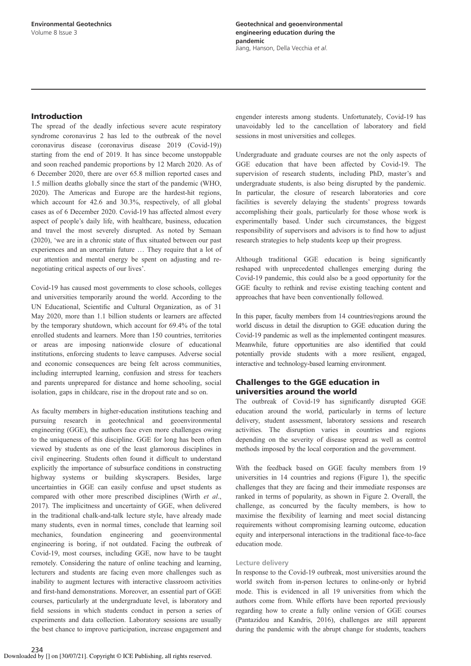## Introduction

The spread of the deadly infectious severe acute respiratory syndrome coronavirus 2 has led to the outbreak of the novel coronavirus disease (coronavirus disease 2019 (Covid-19)) starting from the end of 2019. It has since become unstoppable and soon reached pandemic proportions by 12 March 2020. As of 6 December 2020, there are over 65.8 million reported cases and 1.5 million deaths globally since the start of the pandemic (WHO, 2020). The Americas and Europe are the hardest-hit regions, which account for 42.6 and 30.3%, respectively, of all global cases as of 6 December 2020. Covid-19 has affected almost every aspect of people's daily life, with healthcare, business, education and travel the most severely disrupted. As noted by Semaan (2020), 'we are in a chronic state of flux situated between our past experiences and an uncertain future … They require that a lot of our attention and mental energy be spent on adjusting and renegotiating critical aspects of our lives'.

Covid-19 has caused most governments to close schools, colleges and universities temporarily around the world. According to the UN Educational, Scientific and Cultural Organization, as of 31 May 2020, more than 1.1 billion students or learners are affected by the temporary shutdown, which account for 69.4% of the total enrolled students and learners. More than 150 countries, territories or areas are imposing nationwide closure of educational institutions, enforcing students to leave campuses. Adverse social and economic consequences are being felt across communities, including interrupted learning, confusion and stress for teachers and parents unprepared for distance and home schooling, social isolation, gaps in childcare, rise in the dropout rate and so on.

As faculty members in higher-education institutions teaching and pursuing research in geotechnical and geoenvironmental engineering (GGE), the authors face even more challenges owing to the uniqueness of this discipline. GGE for long has been often viewed by students as one of the least glamorous disciplines in civil engineering. Students often found it difficult to understand explicitly the importance of subsurface conditions in constructing highway systems or building skyscrapers. Besides, large uncertainties in GGE can easily confuse and upset students as compared with other more prescribed disciplines (Wirth *et al*., 2017). The implicitness and uncertainty of GGE, when delivered in the traditional chalk-and-talk lecture style, have already made many students, even in normal times, conclude that learning soil mechanics, foundation engineering and geoenvironmental engineering is boring, if not outdated. Facing the outbreak of Covid-19, most courses, including GGE, now have to be taught remotely. Considering the nature of online teaching and learning, lecturers and students are facing even more challenges such as inability to augment lectures with interactive classroom activities and first-hand demonstrations. Moreover, an essential part of GGE courses, particularly at the undergraduate level, is laboratory and field sessions in which students conduct in person a series of experiments and data collection. Laboratory sessions are usually the best chance to improve participation, increase engagement and engender interests among students. Unfortunately, Covid-19 has unavoidably led to the cancellation of laboratory and field sessions in most universities and colleges.

Undergraduate and graduate courses are not the only aspects of GGE education that have been affected by Covid-19. The supervision of research students, including PhD, master's and undergraduate students, is also being disrupted by the pandemic. In particular, the closure of research laboratories and core facilities is severely delaying the students' progress towards accomplishing their goals, particularly for those whose work is experimentally based. Under such circumstances, the biggest responsibility of supervisors and advisors is to find how to adjust research strategies to help students keep up their progress.

Although traditional GGE education is being significantly reshaped with unprecedented challenges emerging during the Covid-19 pandemic, this could also be a good opportunity for the GGE faculty to rethink and revise existing teaching content and approaches that have been conventionally followed.

In this paper, faculty members from 14 countries/regions around the world discuss in detail the disruption to GGE education during the Covid-19 pandemic as well as the implemented contingent measures. Meanwhile, future opportunities are also identified that could potentially provide students with a more resilient, engaged, interactive and technology-based learning environment.

## Challenges to the GGE education in universities around the world

The outbreak of Covid-19 has significantly disrupted GGE education around the world, particularly in terms of lecture delivery, student assessment, laboratory sessions and research activities. The disruption varies in countries and regions depending on the severity of disease spread as well as control methods imposed by the local corporation and the government.

With the feedback based on GGE faculty members from 19 universities in 14 countries and regions (Figure 1), the specific challenges that they are facing and their immediate responses are ranked in terms of popularity, as shown in Figure 2. Overall, the challenge, as concurred by the faculty members, is how to maximise the flexibility of learning and meet social distancing requirements without compromising learning outcome, education equity and interpersonal interactions in the traditional face-to-face education mode.

## Lecture delivery

In response to the Covid-19 outbreak, most universities around the world switch from in-person lectures to online-only or hybrid mode. This is evidenced in all 19 universities from which the authors come from. While efforts have been reported previously regarding how to create a fully online version of GGE courses (Pantazidou and Kandris, 2016), challenges are still apparent during the pandemic with the abrupt change for students, teachers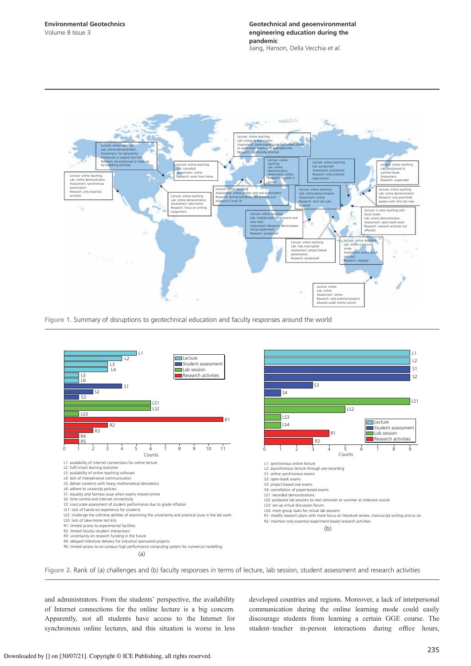

Figure 1. Summary of disruptions to geotechnical education and faculty responses around the world



Figure 2. Rank of (a) challenges and (b) faculty responses in terms of lecture, lab session, student assessment and research activities

and administrators. From the students' perspective, the availability of Internet connections for the online lecture is a big concern. Apparently, not all students have access to the Internet for synchronous online lectures, and this situation is worse in less developed countries and regions. Moreover, a lack of interpersonal communication during the online learning mode could easily discourage students from learning a certain GGE course. The student–teacher in-person interactions during office hours,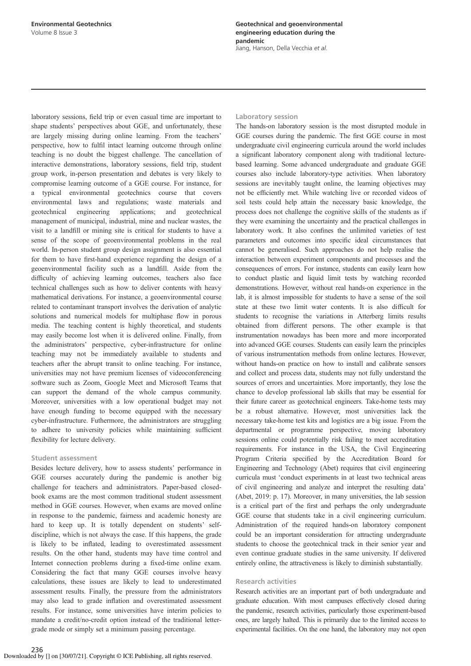laboratory sessions, field trip or even casual time are important to shape students' perspectives about GGE, and unfortunately, these are largely missing during online learning. From the teachers' perspective, how to fulfil intact learning outcome through online teaching is no doubt the biggest challenge. The cancellation of interactive demonstrations, laboratory sessions, field trip, student group work, in-person presentation and debates is very likely to compromise learning outcome of a GGE course. For instance, for a typical environmental geotechnics course that covers environmental laws and regulations; waste materials and geotechnical engineering applications; and geotechnical management of municipal, industrial, mine and nuclear wastes, the visit to a landfill or mining site is critical for students to have a sense of the scope of geoenvironmental problems in the real world. In-person student group design assignment is also essential for them to have first-hand experience regarding the design of a geoenvironmental facility such as a landfill. Aside from the difficulty of achieving learning outcomes, teachers also face technical challenges such as how to deliver contents with heavy mathematical derivations. For instance, a geoenvironmental course related to contaminant transport involves the derivation of analytic solutions and numerical models for multiphase flow in porous media. The teaching content is highly theoretical, and students may easily become lost when it is delivered online. Finally, from the administrators' perspective, cyber-infrastructure for online teaching may not be immediately available to students and teachers after the abrupt transit to online teaching. For instance, universities may not have premium licenses of videoconferencing software such as Zoom, Google Meet and Microsoft Teams that can support the demand of the whole campus community. Moreover, universities with a low operational budget may not have enough funding to become equipped with the necessary cyber-infrastructure. Futhermore, the administrators are struggling to adhere to university policies while maintaining sufficient flexibility for lecture delivery.

## Student assessment

Besides lecture delivery, how to assess students' performance in GGE courses accurately during the pandemic is another big challenge for teachers and administrators. Paper-based closedbook exams are the most common traditional student assessment method in GGE courses. However, when exams are moved online in response to the pandemic, fairness and academic honesty are hard to keep up. It is totally dependent on students' selfdiscipline, which is not always the case. If this happens, the grade is likely to be inflated, leading to overestimated assessment results. On the other hand, students may have time control and Internet connection problems during a fixed-time online exam. Considering the fact that many GGE courses involve heavy calculations, these issues are likely to lead to underestimated assessment results. Finally, the pressure from the administrators may also lead to grade inflation and overestimated assessment results. For instance, some universities have interim policies to mandate a credit/no-credit option instead of the traditional lettergrade mode or simply set a minimum passing percentage.

## Laboratory session

The hands-on laboratory session is the most disrupted module in GGE courses during the pandemic. The first GGE course in most undergraduate civil engineering curricula around the world includes a significant laboratory component along with traditional lecturebased learning. Some advanced undergraduate and graduate GGE courses also include laboratory-type activities. When laboratory sessions are inevitably taught online, the learning objectives may not be efficiently met. While watching live or recorded videos of soil tests could help attain the necessary basic knowledge, the process does not challenge the cognitive skills of the students as if they were examining the uncertainty and the practical challenges in laboratory work. It also confines the unlimited varieties of test parameters and outcomes into specific ideal circumstances that cannot be generalised. Such approaches do not help realise the interaction between experiment components and processes and the consequences of errors. For instance, students can easily learn how to conduct plastic and liquid limit tests by watching recorded demonstrations. However, without real hands-on experience in the lab, it is almost impossible for students to have a sense of the soil state at these two limit water contents. It is also difficult for students to recognise the variations in Atterberg limits results obtained from different persons. The other example is that instrumentation nowadays has been more and more incorporated into advanced GGE courses. Students can easily learn the principles of various instrumentation methods from online lectures. However, without hands-on practice on how to install and calibrate sensors and collect and process data, students may not fully understand the sources of errors and uncertainties. More importantly, they lose the chance to develop professional lab skills that may be essential for their future career as geotechnical engineers. Take-home tests may be a robust alternative. However, most universities lack the necessary take-home test kits and logistics are a big issue. From the departmental or programme perspective, moving laboratory sessions online could potentially risk failing to meet accreditation requirements. For instance in the USA, the Civil Engineering Program Criteria specified by the Accreditation Board for Engineering and Technology (Abet) requires that civil engineering curricula must 'conduct experiments in at least two technical areas of civil engineering and analyze and interpret the resulting data' (Abet, 2019: p. 17). Moreover, in many universities, the lab session is a critical part of the first and perhaps the only undergraduate GGE course that students take in a civil engineering curriculum. Administration of the required hands-on laboratory component could be an important consideration for attracting undergraduate students to choose the geotechnical track in their senior year and even continue graduate studies in the same university. If delivered entirely online, the attractiveness is likely to diminish substantially.

## Research activities

Research activities are an important part of both undergraduate and graduate education. With most campuses effectively closed during the pandemic, research activities, particularly those experiment-based ones, are largely halted. This is primarily due to the limited access to experimental facilities. On the one hand, the laboratory may not open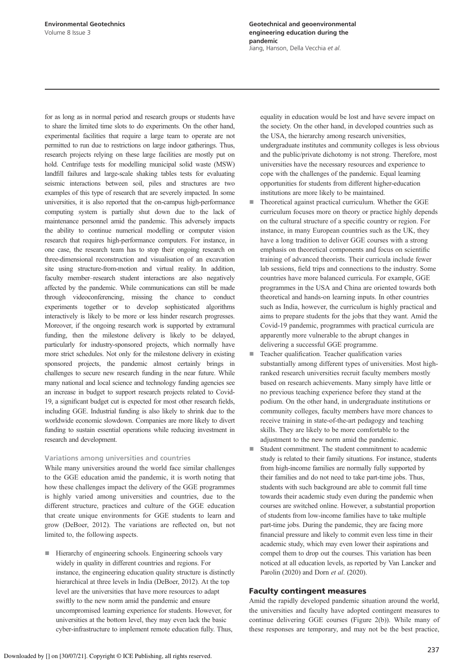for as long as in normal period and research groups or students have to share the limited time slots to do experiments. On the other hand, experimental facilities that require a large team to operate are not permitted to run due to restrictions on large indoor gatherings. Thus, research projects relying on these large facilities are mostly put on hold. Centrifuge tests for modelling municipal solid waste (MSW) landfill failures and large-scale shaking tables tests for evaluating seismic interactions between soil, piles and structures are two examples of this type of research that are severely impacted. In some universities, it is also reported that the on-campus high-performance computing system is partially shut down due to the lack of maintenance personnel amid the pandemic. This adversely impacts the ability to continue numerical modelling or computer vision research that requires high-performance computers. For instance, in one case, the research team has to stop their ongoing research on three-dimensional reconstruction and visualisation of an excavation site using structure-from-motion and virtual reality. In addition, faculty member–research student interactions are also negatively affected by the pandemic. While communications can still be made through videoconferencing, missing the chance to conduct experiments together or to develop sophisticated algorithms interactively is likely to be more or less hinder research progresses. Moreover, if the ongoing research work is supported by extramural funding, then the milestone delivery is likely to be delayed, particularly for industry-sponsored projects, which normally have more strict schedules. Not only for the milestone delivery in existing sponsored projects, the pandemic almost certainly brings in challenges to secure new research funding in the near future. While many national and local science and technology funding agencies see an increase in budget to support research projects related to Covid-19, a significant budget cut is expected for most other research fields, including GGE. Industrial funding is also likely to shrink due to the worldwide economic slowdown. Companies are more likely to divert funding to sustain essential operations while reducing investment in research and development.

## Variations among universities and countries

While many universities around the world face similar challenges to the GGE education amid the pandemic, it is worth noting that how these challenges impact the delivery of the GGE programmes is highly varied among universities and countries, due to the different structure, practices and culture of the GGE education that create unique environments for GGE students to learn and grow (DeBoer, 2012). The variations are reflected on, but not limited to, the following aspects.

■ Hierarchy of engineering schools. Engineering schools vary widely in quality in different countries and regions. For instance, the engineering education quality structure is distinctly hierarchical at three levels in India (DeBoer, 2012). At the top level are the universities that have more resources to adapt swiftly to the new norm amid the pandemic and ensure uncompromised learning experience for students. However, for universities at the bottom level, they may even lack the basic cyber-infrastructure to implement remote education fully. Thus,

equality in education would be lost and have severe impact on the society. On the other hand, in developed countries such as the USA, the hierarchy among research universities, undergraduate institutes and community colleges is less obvious and the public/private dichotomy is not strong. Therefore, most universities have the necessary resources and experience to cope with the challenges of the pandemic. Equal learning opportunities for students from different higher-education institutions are more likely to be maintained.

- Theoretical against practical curriculum. Whether the GGE curriculum focuses more on theory or practice highly depends on the cultural structure of a specific country or region. For instance, in many European countries such as the UK, they have a long tradition to deliver GGE courses with a strong emphasis on theoretical components and focus on scientific training of advanced theorists. Their curricula include fewer lab sessions, field trips and connections to the industry. Some countries have more balanced curricula. For example, GGE programmes in the USA and China are oriented towards both theoretical and hands-on learning inputs. In other countries such as India, however, the curriculum is highly practical and aims to prepare students for the jobs that they want. Amid the Covid-19 pandemic, programmes with practical curricula are apparently more vulnerable to the abrupt changes in delivering a successful GGE programme.
- Teacher qualification. Teacher qualification varies substantially among different types of universities. Most highranked research universities recruit faculty members mostly based on research achievements. Many simply have little or no previous teaching experience before they stand at the podium. On the other hand, in undergraduate institutions or community colleges, faculty members have more chances to receive training in state-of-the-art pedagogy and teaching skills. They are likely to be more comfortable to the adjustment to the new norm amid the pandemic.
- Student commitment. The student commitment to academic study is related to their family situations. For instance, students from high-income families are normally fully supported by their families and do not need to take part-time jobs. Thus, students with such background are able to commit full time towards their academic study even during the pandemic when courses are switched online. However, a substantial proportion of students from low-income families have to take multiple part-time jobs. During the pandemic, they are facing more financial pressure and likely to commit even less time in their academic study, which may even lower their aspirations and compel them to drop out the courses. This variation has been noticed at all education levels, as reported by Van Lancker and Parolin (2020) and Dorn *et al*. (2020).

## Faculty contingent measures

Amid the rapidly developed pandemic situation around the world, the universities and faculty have adopted contingent measures to continue delivering GGE courses (Figure 2(b)). While many of these responses are temporary, and may not be the best practice,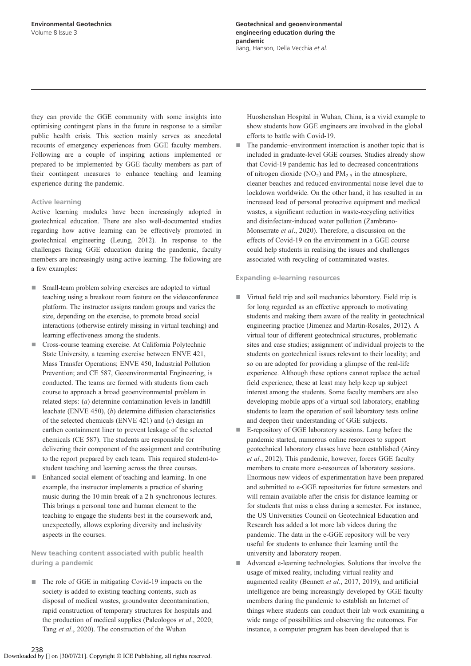they can provide the GGE community with some insights into optimising contingent plans in the future in response to a similar public health crisis. This section mainly serves as anecdotal recounts of emergency experiences from GGE faculty members. Following are a couple of inspiring actions implemented or prepared to be implemented by GGE faculty members as part of their contingent measures to enhance teaching and learning experience during the pandemic.

## Active learning

Active learning modules have been increasingly adopted in geotechnical education. There are also well-documented studies regarding how active learning can be effectively promoted in geotechnical engineering (Leung, 2012). In response to the challenges facing GGE education during the pandemic, faculty members are increasingly using active learning. The following are a few examples:

- Small-team problem solving exercises are adopted to virtual teaching using a breakout room feature on the videoconference platform. The instructor assigns random groups and varies the size, depending on the exercise, to promote broad social interactions (otherwise entirely missing in virtual teaching) and learning effectiveness among the students.
- Cross-course teaming exercise. At California Polytechnic State University, a teaming exercise between ENVE 421, Mass Transfer Operations; ENVE 450, Industrial Pollution Prevention; and CE 587, Geoenvironmental Engineering, is conducted. The teams are formed with students from each course to approach a broad geoenvironmental problem in related steps: (*a*) determine contamination levels in landfill leachate (ENVE 450), (*b*) determine diffusion characteristics of the selected chemicals (ENVE 421) and (*c*) design an earthen containment liner to prevent leakage of the selected chemicals (CE 587). The students are responsible for delivering their component of the assignment and contributing to the report prepared by each team. This required student-tostudent teaching and learning across the three courses.
- Enhanced social element of teaching and learning. In one example, the instructor implements a practice of sharing music during the 10 min break of a 2 h synchronous lectures. This brings a personal tone and human element to the teaching to engage the students best in the coursework and, unexpectedly, allows exploring diversity and inclusivity aspects in the courses.

New teaching content associated with public health during a pandemic

■ The role of GGE in mitigating Covid-19 impacts on the society is added to existing teaching contents, such as disposal of medical wastes, groundwater decontamination, rapid construction of temporary structures for hospitals and the production of medical supplies (Paleologos *et al*., 2020; Tang *et al*., 2020). The construction of the Wuhan

Huoshenshan Hospital in Wuhan, China, is a vivid example to show students how GGE engineers are involved in the global efforts to battle with Covid-19.

■ The pandemic–environment interaction is another topic that is included in graduate-level GGE courses. Studies already show that Covid-19 pandemic has led to decreased concentrations of nitrogen dioxide  $(NO<sub>2</sub>)$  and  $PM<sub>2.5</sub>$  in the atmosphere, cleaner beaches and reduced environmental noise level due to lockdown worldwide. On the other hand, it has resulted in an increased load of personal protective equipment and medical wastes, a significant reduction in waste-recycling activities and disinfectant-induced water pollution (Zambrano-Monserrate *et al*., 2020). Therefore, a discussion on the effects of Covid-19 on the environment in a GGE course could help students in realising the issues and challenges associated with recycling of contaminated wastes.

## Expanding e-learning resources

- Virtual field trip and soil mechanics laboratory. Field trip is for long regarded as an effective approach to motivating students and making them aware of the reality in geotechnical engineering practice (Jimenez and Martin-Rosales, 2012). A virtual tour of different geotechnical structures, problematic sites and case studies; assignment of individual projects to the students on geotechnical issues relevant to their locality; and so on are adopted for providing a glimpse of the real-life experience. Although these options cannot replace the actual field experience, these at least may help keep up subject interest among the students. Some faculty members are also developing mobile apps of a virtual soil laboratory, enabling students to learn the operation of soil laboratory tests online and deepen their understanding of GGE subjects.
- E-repository of GGE laboratory sessions. Long before the pandemic started, numerous online resources to support geotechnical laboratory classes have been established (Airey *et al*., 2012). This pandemic, however, forces GGE faculty members to create more e-resources of laboratory sessions. Enormous new videos of experimentation have been prepared and submitted to e-GGE repositories for future semesters and will remain available after the crisis for distance learning or for students that miss a class during a semester. For instance, the US Universities Council on Geotechnical Education and Research has added a lot more lab videos during the pandemic. The data in the e-GGE repository will be very useful for students to enhance their learning until the university and laboratory reopen.
- Advanced e-learning technologies. Solutions that involve the usage of mixed reality, including virtual reality and augmented reality (Bennett *et al*., 2017, 2019), and artificial intelligence are being increasingly developed by GGE faculty members during the pandemic to establish an Internet of things where students can conduct their lab work examining a wide range of possibilities and observing the outcomes. For instance, a computer program has been developed that is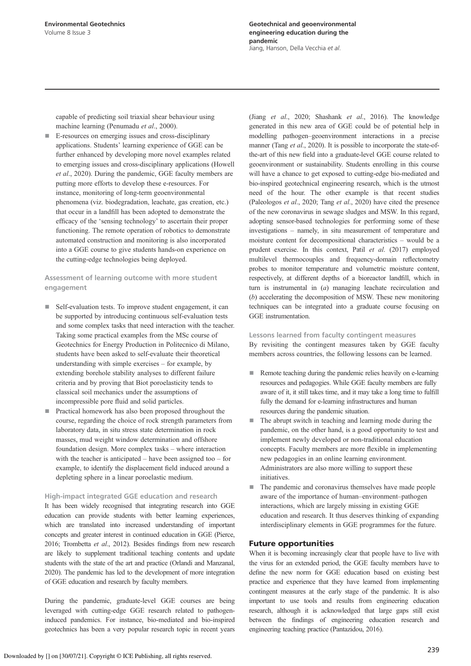capable of predicting soil triaxial shear behaviour using machine learning (Penumadu *et al*., 2000).

E-resources on emerging issues and cross-disciplinary applications. Students' learning experience of GGE can be further enhanced by developing more novel examples related to emerging issues and cross-disciplinary applications (Howell *et al*., 2020). During the pandemic, GGE faculty members are putting more efforts to develop these e-resources. For instance, monitoring of long-term geoenvironmental phenomena (viz. biodegradation, leachate, gas creation, etc.) that occur in a landfill has been adopted to demonstrate the efficacy of the 'sensing technology' to ascertain their proper functioning. The remote operation of robotics to demonstrate automated construction and monitoring is also incorporated into a GGE course to give students hands-on experience on the cutting-edge technologies being deployed.

## Assessment of learning outcome with more student engagement

- Self-evaluation tests. To improve student engagement, it can be supported by introducing continuous self-evaluation tests and some complex tasks that need interaction with the teacher. Taking some practical examples from the MSc course of Geotechnics for Energy Production in Politecnico di Milano, students have been asked to self-evaluate their theoretical understanding with simple exercises – for example, by extending borehole stability analyses to different failure criteria and by proving that Biot poroelasticity tends to classical soil mechanics under the assumptions of incompressible pore fluid and solid particles.
- Practical homework has also been proposed throughout the course, regarding the choice of rock strength parameters from laboratory data, in situ stress state determination in rock masses, mud weight window determination and offshore foundation design. More complex tasks – where interaction with the teacher is anticipated – have been assigned too – for example, to identify the displacement field induced around a depleting sphere in a linear poroelastic medium.

## High-impact integrated GGE education and research

It has been widely recognised that integrating research into GGE education can provide students with better learning experiences, which are translated into increased understanding of important concepts and greater interest in continued education in GGE (Pierce, 2016; Trombetta *et al*., 2012). Besides findings from new research are likely to supplement traditional teaching contents and update students with the state of the art and practice (Orlandi and Manzanal, 2020). The pandemic has led to the development of more integration of GGE education and research by faculty members.

During the pandemic, graduate-level GGE courses are being leveraged with cutting-edge GGE research related to pathogeninduced pandemics. For instance, bio-mediated and bio-inspired geotechnics has been a very popular research topic in recent years

(Jiang *et al*., 2020; Shashank *et al*., 2016). The knowledge generated in this new area of GGE could be of potential help in modelling pathogen–geoenvironment interactions in a precise manner (Tang *et al*., 2020). It is possible to incorporate the state-ofthe-art of this new field into a graduate-level GGE course related to geoenvironment or sustainability. Students enrolling in this course will have a chance to get exposed to cutting-edge bio-mediated and bio-inspired geotechnical engineering research, which is the utmost need of the hour. The other example is that recent studies (Paleologos *et al*., 2020; Tang *et al*., 2020) have cited the presence of the new coronavirus in sewage sludges and MSW. In this regard, adopting sensor-based technologies for performing some of these investigations – namely, in situ measurement of temperature and moisture content for decompositional characteristics – would be a prudent exercise. In this context, Patil *et al*. (2017) employed multilevel thermocouples and frequency-domain reflectometry probes to monitor temperature and volumetric moisture content, respectively, at different depths of a bioreactor landfill, which in turn is instrumental in (*a*) managing leachate recirculation and (*b*) accelerating the decomposition of MSW. These new monitoring techniques can be integrated into a graduate course focusing on GGE instrumentation.

## Lessons learned from faculty contingent measures By revisiting the contingent measures taken by GGE faculty members across countries, the following lessons can be learned.

- Remote teaching during the pandemic relies heavily on e-learning resources and pedagogies. While GGE faculty members are fully aware of it, it still takes time, and it may take a long time to fulfill fully the demand for e-learning infrastructures and human resources during the pandemic situation.
- The abrupt switch in teaching and learning mode during the pandemic, on the other hand, is a good opportunity to test and implement newly developed or non-traditional education concepts. Faculty members are more flexible in implementing new pedagogies in an online learning environment. Administrators are also more willing to support these initiatives.
- The pandemic and coronavirus themselves have made people aware of the importance of human–environment–pathogen interactions, which are largely missing in existing GGE education and research. It thus deserves thinking of expanding interdisciplinary elements in GGE programmes for the future.

## Future opportunities

When it is becoming increasingly clear that people have to live with the virus for an extended period, the GGE faculty members have to define the new norm for GGE education based on existing best practice and experience that they have learned from implementing contingent measures at the early stage of the pandemic. It is also important to use tools and results from engineering education research, although it is acknowledged that large gaps still exist between the findings of engineering education research and engineering teaching practice (Pantazidou, 2016).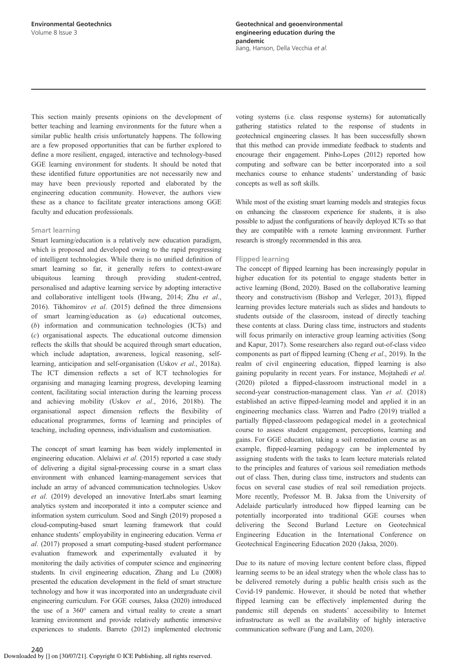This section mainly presents opinions on the development of better teaching and learning environments for the future when a similar public health crisis unfortunately happens. The following are a few proposed opportunities that can be further explored to define a more resilient, engaged, interactive and technology-based GGE learning environment for students. It should be noted that these identified future opportunities are not necessarily new and may have been previously reported and elaborated by the engineering education community. However, the authors view these as a chance to facilitate greater interactions among GGE faculty and education professionals.

## Smart learning

Smart learning/education is a relatively new education paradigm, which is proposed and developed owing to the rapid progressing of intelligent technologies. While there is no unified definition of smart learning so far, it generally refers to context-aware ubiquitous learning through providing student-centred, personalised and adaptive learning service by adopting interactive and collaborative intelligent tools (Hwang, 2014; Zhu *et al*., 2016). Tikhomirov *et al*. (2015) defined the three dimensions of smart learning/education as (*a*) educational outcomes, (*b*) information and communication technologies (ICTs) and (*c*) organisational aspects. The educational outcome dimension reflects the skills that should be acquired through smart education, which include adaptation, awareness, logical reasoning, selflearning, anticipation and self-organisation (Uskov *et al*., 2018a). The ICT dimension reflects a set of ICT technologies for organising and managing learning progress, developing learning content, facilitating social interaction during the learning process and achieving mobility (Uskov *et al*., 2016, 2018b). The organisational aspect dimension reflects the flexibility of educational programmes, forms of learning and principles of teaching, including openness, individualism and customisation.

The concept of smart learning has been widely implemented in engineering education. Alelaiwi *et al*. (2015) reported a case study of delivering a digital signal-processing course in a smart class environment with enhanced learning-management services that include an array of advanced communication technologies. Uskov *et al*. (2019) developed an innovative InterLabs smart learning analytics system and incorporated it into a computer science and information system curriculum. Sood and Singh (2019) proposed a cloud-computing-based smart learning framework that could enhance students' employability in engineering education. Verma *et al*. (2017) proposed a smart computing-based student performance evaluation framework and experimentally evaluated it by monitoring the daily activities of computer science and engineering students. In civil engineering education, Zhang and Lu (2008) presented the education development in the field of smart structure technology and how it was incorporated into an undergraduate civil engineering curriculum. For GGE courses, Jaksa (2020) introduced the use of a 360° camera and virtual reality to create a smart learning environment and provide relatively authentic immersive experiences to students. Barreto (2012) implemented electronic voting systems (i.e. class response systems) for automatically gathering statistics related to the response of students in geotechnical engineering classes. It has been successfully shown that this method can provide immediate feedback to students and encourage their engagement. Pinho-Lopes (2012) reported how computing and software can be better incorporated into a soil mechanics course to enhance students' understanding of basic concepts as well as soft skills.

While most of the existing smart learning models and strategies focus on enhancing the classroom experience for students, it is also possible to adjust the configurations of heavily deployed ICTs so that they are compatible with a remote learning environment. Further research is strongly recommended in this area.

## Flipped learning

The concept of flipped learning has been increasingly popular in higher education for its potential to engage students better in active learning (Bond, 2020). Based on the collaborative learning theory and constructivism (Bishop and Verleger, 2013), flipped learning provides lecture materials such as slides and handouts to students outside of the classroom, instead of directly teaching these contents at class. During class time, instructors and students will focus primarily on interactive group learning activities (Song and Kapur, 2017). Some researchers also regard out-of-class video components as part of flipped learning (Cheng *et al*., 2019). In the realm of civil engineering education, flipped learning is also gaining popularity in recent years. For instance, Mojtahedi *et al*. (2020) piloted a flipped-classroom instructional model in a second-year construction-management class. Yan *et al*. (2018) established an active flipped-learning model and applied it in an engineering mechanics class. Warren and Padro (2019) trialled a partially flipped-classroom pedagogical model in a geotechnical course to assess student engagement, perceptions, learning and gains. For GGE education, taking a soil remediation course as an example, flipped-learning pedagogy can be implemented by assigning students with the tasks to learn lecture materials related to the principles and features of various soil remediation methods out of class. Then, during class time, instructors and students can focus on several case studies of real soil remediation projects. More recently, Professor M. B. Jaksa from the University of Adelaide particularly introduced how flipped learning can be potentially incorporated into traditional GGE courses when delivering the Second Burland Lecture on Geotechnical Engineering Education in the International Conference on Geotechnical Engineering Education 2020 (Jaksa, 2020).

Due to its nature of moving lecture content before class, flipped learning seems to be an ideal strategy when the whole class has to be delivered remotely during a public health crisis such as the Covid-19 pandemic. However, it should be noted that whether flipped learning can be effectively implemented during the pandemic still depends on students' accessibility to Internet infrastructure as well as the availability of highly interactive communication software (Fung and Lam, 2020).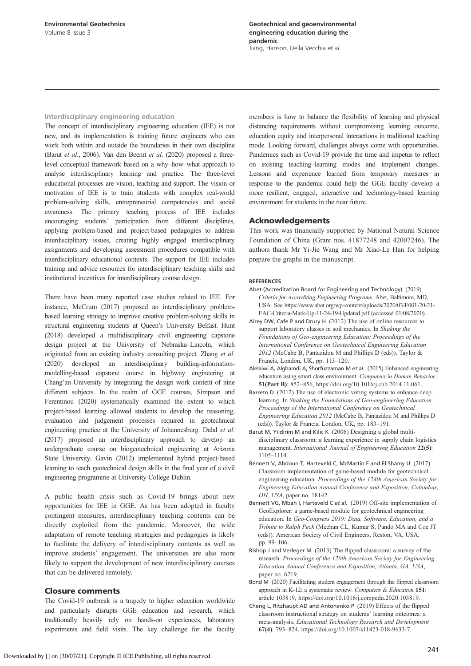## Interdisciplinary engineering education

The concept of interdisciplinary engineering education (IEE) is not new, and its implementation is training future engineers who can work both within and outside the boundaries in their own discipline (Barut *et al*., 2006). Van den Beemt *et al*. (2020) proposed a threelevel conceptual framework based on a why–how–what approach to analyse interdisciplinary learning and practice. The three-level educational processes are vision, teaching and support. The vision or motivation of IEE is to train students with complex real-world problem-solving skills, entrepreneurial competencies and social awareness. The primary teaching process of IEE includes encouraging students' participation from different disciplines, applying problem-based and project-based pedagogies to address interdisciplinary issues, creating highly engaged interdisciplinary assignments and developing assessment procedures compatible with interdisciplinary educational contexts. The support for IEE includes training and advice resources for interdisciplinary teaching skills and institutional incentives for interdisciplinary course design.

There have been many reported case studies related to IEE. For instance, McCrum (2017) proposed an interdisciplinary problembased learning strategy to improve creative problem-solving skills in structural engineering students at Queen's University Belfast. Hunt (2018) developed a multidisciplinary civil engineering capstone design project at the University of Nebraska–Lincoln, which originated from an existing industry consulting project. Zhang *et al*. (2020) developed an interdisciplinary building-informationmodelling-based capstone course in highway engineering at Chang'an University by integrating the design work content of nine different subjects. In the realm of GGE courses, Simpson and Ferentinou (2020) systematically examined the extent to which project-based learning allowed students to develop the reasoning, evaluation and judgement processes required in geotechnical engineering practice at the University of Johannesburg. Dalal *et al*. (2017) proposed an interdisciplinary approach to develop an undergraduate course on biogeotechnical engineering at Arizona State University. Gavin (2012) implemented hybrid project-based learning to teach geotechnical design skills in the final year of a civil engineering programme at University College Dublin.

A public health crisis such as Covid-19 brings about new opportunities for IEE in GGE. As has been adopted in faculty contingent measures, interdisciplinary teaching contents can be directly exploited from the pandemic. Moreover, the wide adaptation of remote teaching strategies and pedagogies is likely to facilitate the delivery of interdisciplinary contents as well as improve students' engagement. The universities are also more likely to support the development of new interdisciplinary courses that can be delivered remotely.

## Closure comments

The Covid-19 outbreak is a tragedy to higher education worldwide and particularly disrupts GGE education and research, which traditionally heavily rely on hands-on experiences, laboratory experiments and field visits. The key challenge for the faculty

members is how to balance the flexibility of learning and physical distancing requirements without compromising learning outcome, education equity and interpersonal interactions in traditional teaching mode. Looking forward, challenges always come with opportunities. Pandemics such as Covid-19 provide the time and impetus to reflect on existing teaching–learning modes and implement changes. Lessons and experience learned from temporary measures in response to the pandemic could help the GGE faculty develop a more resilient, engaged, interactive and technology-based learning environment for students in the near future.

## Acknowledgements

This work was financially supported by National Natural Science Foundation of China (Grant nos. 41877248 and 42007246). The authors thank Mr Yi-Jie Wang and Mr Xiao-Le Han for helping prepare the graphs in the manuscript.

## **REFERENCES**

- Abet (Accreditation Board for Engineering and Technology) (2019) *Criteria for Accrediting Engineering Programs*. Abet, Baltimore, MD, USA. See https://www.abet.org/wp-content/uploads/2020/03/E001-20-21- EAC-Criteria-Mark-Up-11-24-19-Updated.pdf (accessed 01/08/2020).
- Airey DW, Cafe P and Drury H (2012) The use of online resources to support laboratory classes in soil mechanics. In *Shaking the Foundations of Geo-engineering Education: Proceedings of the International Conference on Geotechnical Engineering Education 2012* (McCabe B, Pantazidou M and Phillips D (eds)). Taylor & Francis, London, UK, pp. 113–120.
- Alelaiwi A, Alghamdi A, Shorfuzzaman M et al. (2015) Enhanced engineering education using smart class environment. *Computers in Human Behavior* 51(Part B): 852–856, https://doi.org/10.1016/j.chb.2014.11.061.
- Barreto D (2012) The use of electronic voting systems to enhance deep learning. In *Shaking the Foundations of Geo-engineering Education: Proceedings of the International Conference on Geotechnical Engineering Education 2012* (McCabe B, Pantazidou M and Phillips D (eds)). Taylor & Francis, London, UK, pp. 183–191.
- Barut M, Yildirim M and Kilic K (2006) Designing a global multidisciplinary classroom: a learning experience in supply chain logistics management. *International Journal of Engineering Education* 22(5): 1105–1114.
- Bennett V, Abdoun T, Harteveld C, McMartin F and El Shamy U (2017) Classroom implementation of game-based module for geotechnical engineering education. *Proceedings of the 124th American Society for Engineering Education Annual Conference and Exposition, Columbus, OH, USA*, paper no. 18142.
- Bennett VG, Mbah I, Harteveld C et al. (2019) Off-site implementation of GeoExplorer: a game-based module for geotechnical engineering education. In *Geo-Congress 2019: Data, Software, Education, and a Tribute to Ralph Peck* (Meehan CL, Kumar S, Pando MA and Coe JT (eds)). American Society of Civil Engineers, Reston, VA, USA, pp. 99–106.
- Bishop J and Verleger M (2013) The flipped classroom: a survey of the research. *Proceedings of the 120th American Society for Engineering Education Annual Conference and Exposition, Atlanta, GA, USA*, paper no. 6219.
- Bond M (2020) Facilitating student engagement through the flipped classroom approach in K-12: a systematic review. *Computers & Education* 151: article 103819, https://doi.org/10.1016/j.compedu.2020.103819.
- Cheng L, Ritzhaupt AD and Antonenko P (2019) Effects of the flipped classroom instructional strategy on students' learning outcomes: a meta-analysis. *Educational Technology Research and Development* 67(4): 793–824, https://doi.org/10.1007/s11423-018-9633-7.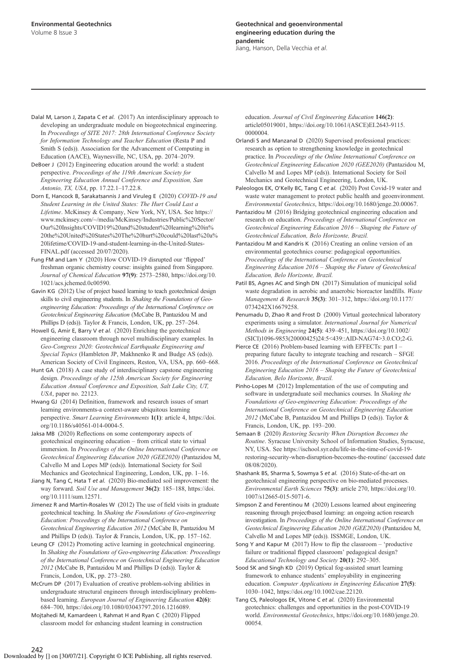Dalal M, Larson J, Zapata C et al. (2017) An interdisciplinary approach to developing an undergraduate module on biogeotechnical engineering. In *Proceedings of SITE 2017: 28th International Conference Society for Information Technology and Teacher Education* (Resta P and Smith S (eds)). Association for the Advancement of Computing in Education (AACE), Waynesville, NC, USA, pp. 2074–2079.

DeBoer J (2012) Engineering education around the world: a student perspective. *Proceedings of the 119th American Society for Engineering Education Annual Conference and Exposition, San Antonio, TX, USA*, pp. 17.22.1–17.22.8.

Dorn E, Hancock B, Sarakatsannis J and Viruleg E (2020) *COVID-19 and Student Learning in the United States: The Hurt Could Last a Lifetime*. McKinsey & Company, New York, NY, USA. See https:// www.mckinsey.com/~/media/McKinsey/Industries/Public%20Sector/ Our%20Insights/COVID19%20and%20student%20learning%20in% 20the%20United%20States%20The%20hurt%20could%20last%20a% 20lifetime/COVID-19-and-student-learning-in-the-United-States-FINAL.pdf (accessed 20/07/2020).

Fung FM and Lam Y (2020) How COVID-19 disrupted our 'flipped' freshman organic chemistry course: insights gained from Singapore. *Journal of Chemical Education* 97(9): 2573–2580, https://doi.org/10. 1021/acs.jchemed.0c00590.

Gavin KG (2012) Use of project based learning to teach geotechnical design skills to civil engineering students. In *Shaking the Foundations of Geoengineering Education: Proceedings of the International Conference on Geotechnical Engineering Education* (McCabe B, Pantazidou M and Phillips D (eds)). Taylor & Francis, London, UK, pp. 257–264.

Howell G, Amir E, Barry V et al. (2020) Enriching the geotechnical engineering classroom through novel multidisciplinary examples. In *Geo-Congress 2020: Geotechnical Earthquake Engineering and Special Topics* (Hambleton JP, Makhnenko R and Budge AS (eds)). American Society of Civil Engineers, Reston, VA, USA, pp. 660–668.

Hunt GA (2018) A case study of interdisciplinary capstone engineering design. *Proceedings of the 125th American Society for Engineering Education Annual Conference and Exposition, Salt Lake City, UT, USA*, paper no. 22123.

Hwang GJ (2014) Definition, framework and research issues of smart learning environments-a context-aware ubiquitous learning perspective. *Smart Learning Environments* 1(1): article 4, https://doi. org/10.1186/s40561-014-0004-5.

Jaksa MB (2020) Reflections on some contemporary aspects of geotechnical engineering education – from critical state to virtual immersion. In *Proceedings of the Online International Conference on Geotechnical Engineering Education 2020 (GEE2020)* (Pantazidou M, Calvello M and Lopes MP (eds)). International Society for Soil Mechanics and Geotechnical Engineering, London, UK, pp. 1–16.

Jiang N, Tang C, Hata T et al. (2020) Bio-mediated soil improvement: the way forward. *Soil Use and Management* 36(2): 185–188, https://doi. org/10.1111/sum.12571.

Jimenez R and Martin-Rosales W (2012) The use of field visits in graduate geotechnical teaching. In *Shaking the Foundations of Geo-engineering Education: Proceedings of the International Conference on Geotechnical Engineering Education 2012* (McCabe B, Pantazidou M and Phillips D (eds)). Taylor & Francis, London, UK, pp. 157–162.

Leung CF (2012) Promoting active learning in geotechnical engineering. In *Shaking the Foundations of Geo-engineering Education: Proceedings of the International Conference on Geotechnical Engineering Education 2012* (McCabe B, Pantazidou M and Phillips D (eds)). Taylor & Francis, London, UK, pp. 273–280.

McCrum DP (2017) Evaluation of creative problem-solving abilities in undergraduate structural engineers through interdisciplinary problembased learning. *European Journal of Engineering Education* 42(6): 684–700, https://doi.org/10.1080/03043797.2016.1216089.

Mojtahedi M, Kamardeen I, Rahmat H and Ryan C (2020) Flipped classroom model for enhancing student learning in construction education. *Journal of Civil Engineering Education* 146(2): article05019001, https://doi.org/10.1061/(ASCE)EI.2643-9115. 0000004.

Orlandi S and Manzanal D (2020) Supervised professional practices: research as option to strengthening knowledge in geotechnical practice. In *Proceedings of the Online International Conference on Geotechnical Engineering Education 2020 (GEE2020)* (Pantazidou M, Calvello M and Lopes MP (eds)). International Society for Soil Mechanics and Geotechnical Engineering, London, UK.

Paleologos EK, O'Kelly BC, Tang C et al. (2020) Post Covid-19 water and waste water management to protect public health and geoenvironment. *Environmental Geotechnics*, https://doi.org/10.1680/jenge.20.00067.

Pantazidou M (2016) Bridging geotechnical engineering education and research on education. *Proceedings of International Conference on Geotechnical Engineering Education 2016* – *Shaping the Future of Geotechnical Education, Belo Horizonte, Brazil.*

Pantazidou M and Kandris K (2016) Creating an online version of an environmental geotechnics course: pedagogical opportunities. *Proceedings of the International Conference on Geotechnical Engineering Education 2016* – *Shaping the Future of Geotechnical Education, Belo Horizonte, Brazil.*

Patil BS, Agnes AC and Singh DN (2017) Simulation of municipal solid waste degradation in aerobic and anaerobic bioreactor landfills. *Waste Management & Research* 35(3): 301–312, https://doi.org/10.1177/ 0734242X16679258.

Penumadu D, Zhao R and Frost D (2000) Virtual geotechnical laboratory experiments using a simulator. *International Journal for Numerical Methods in Engineering* 24(5): 439–451, https://doi.org/10.1002/ (SICI)1096-9853(20000425)24:5<439::AID-NAG74>3.0.CO;2-G.

Pierce CE (2016) Problem-based learning with EFFECTs: part I – preparing future faculty to integrate teaching and research – SFGE 2016. *Proceedings of the International Conference on Geotechnical Engineering Education 2016* – *Shaping the Future of Geotechnical Education, Belo Horizonte, Brazil.*

Pinho-Lopes M (2012) Implementation of the use of computing and software in undergraduate soil mechanics courses. In *Shaking the Foundations of Geo-engineering Education: Proceedings of the International Conference on Geotechnical Engineering Education 2012* (McCabe B, Pantazidou M and Phillips D (eds)). Taylor & Francis, London, UK, pp. 193–200.

Semaan B (2020) *Restoring Security When Disruption Becomes the Routine*. Syracuse University School of Information Studies, Syracuse, NY, USA. See https://ischool.syr.edu/life-in-the-time-of-covid-19 restoring-security-when-disruption-becomes-the-routine/ (accessed date 08/08/2020).

Shashank BS, Sharma S, Sowmya S et al. (2016) State-of-the-art on geotechnical engineering perspective on bio-mediated processes. *Environmental Earth Sciences* 75(3): article 270, https://doi.org/10. 1007/s12665-015-5071-6.

Simpson Z and Ferentinou M (2020) Lessons learned about engineering reasoning through projectbased learning: an ongoing action research investigation. In *Proceedings of the Online International Conference on Geotechnical Engineering Education 2020 (GEE2020)* (Pantazidou M, Calvello M and Lopes MP (eds)). ISSMGE, London, UK.

Song Y and Kapur M (2017) How to flip the classroom – 'productive failure or traditional flipped classroom' pedagogical design? *Educational Technology and Society* 20(1): 292–305.

Sood SK and Singh KD (2019) Optical fog-assisted smart learning framework to enhance students' employability in engineering education. *Computer Applications in Engineering Education* 27(5): 1030–1042, https://doi.org/10.1002/cae.22120.

Tang CS, Paleologos EK, Vitone C et al. (2020) Environmental geotechnics: challenges and opportunities in the post-COVID-19 world. *Environmental Geotechnics*, https://doi.org/10.1680/jenge.20. 00054.